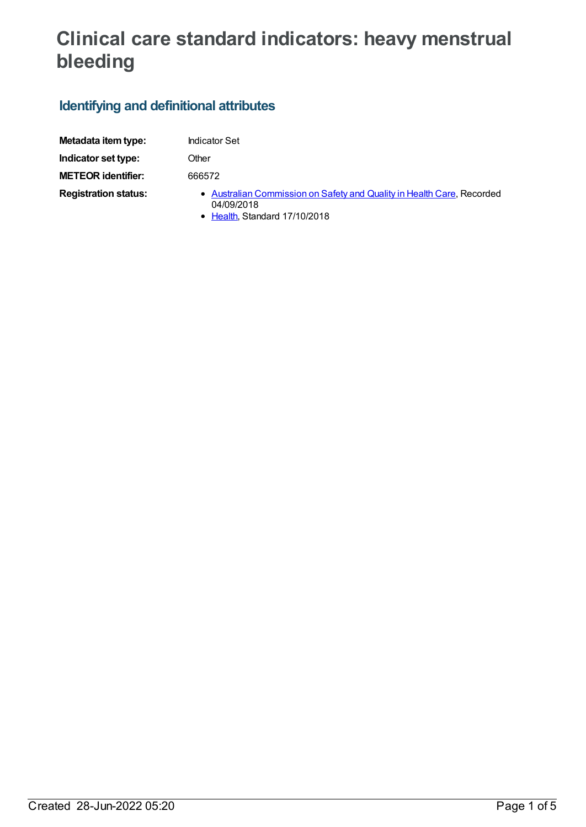# **Clinical care standard indicators: heavy menstrual bleeding**

## **Identifying and definitional attributes**

| Metadata item type:         | <b>Indicator Set</b>                                                                                                  |
|-----------------------------|-----------------------------------------------------------------------------------------------------------------------|
| Indicator set type:         | Other                                                                                                                 |
| <b>METEOR identifier:</b>   | 666572                                                                                                                |
| <b>Registration status:</b> | • Australian Commission on Safety and Quality in Health Care, Recorded<br>04/09/2018<br>• Health, Standard 17/10/2018 |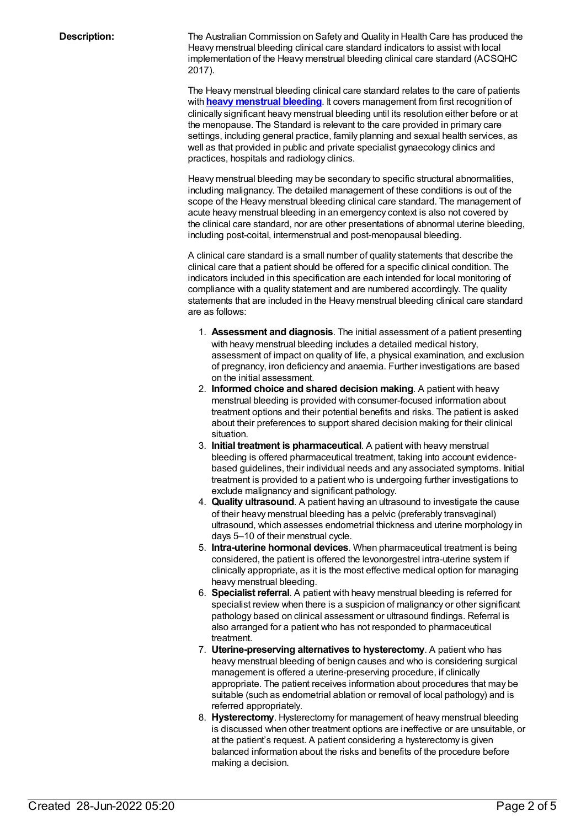**Description:** The Australian Commission on Safety and Quality in Health Care has produced the Heavy menstrual bleeding clinical care standard indicators to assist with local implementation of the Heavy menstrual bleeding clinical care standard (ACSQHC 2017).

> The Heavy menstrual bleeding clinical care standard relates to the care of patients with **heavy [menstrual](https://meteor.aihw.gov.au/content/667292) bleeding**. It covers management from first recognition of clinically significant heavy menstrual bleeding until its resolution either before or at the menopause. The Standard is relevant to the care provided in primary care settings, including general practice, family planning and sexual health services, as well as that provided in public and private specialist gynaecology clinics and practices, hospitals and radiology clinics.

Heavy menstrual bleeding may be secondary to specific structural abnormalities, including malignancy. The detailed management of these conditions is out of the scope of the Heavy menstrual bleeding clinical care standard. The management of acute heavy menstrual bleeding in an emergency context is also not covered by the clinical care standard, nor are other presentations of abnormal uterine bleeding, including post-coital, intermenstrual and post-menopausal bleeding.

A clinical care standard is a small number of quality statements that describe the clinical care that a patient should be offered for a specific clinical condition. The indicators included in this specification are each intended for local monitoring of compliance with a quality statement and are numbered accordingly. The quality statements that are included in the Heavy menstrual bleeding clinical care standard are as follows:

- 1. **Assessment and diagnosis**. The initial assessment of a patient presenting with heavy menstrual bleeding includes a detailed medical history, assessment of impact on quality of life, a physical examination, and exclusion of pregnancy, iron deficiency and anaemia. Further investigations are based on the initial assessment.
- 2. **Informed choice and shared decision making**. A patient with heavy menstrual bleeding is provided with consumer-focused information about treatment options and their potential benefits and risks. The patient is asked about their preferences to support shared decision making for their clinical situation.
- 3. **Initial treatment is pharmaceutical**. A patient with heavy menstrual bleeding is offered pharmaceutical treatment, taking into account evidencebased guidelines, their individual needs and any associated symptoms. Initial treatment is provided to a patient who is undergoing further investigations to exclude malignancy and significant pathology.
- 4. **Quality ultrasound**. A patient having an ultrasound to investigate the cause of their heavy menstrual bleeding has a pelvic (preferably transvaginal) ultrasound, which assesses endometrial thickness and uterine morphology in days 5–10 of their menstrual cycle.
- 5. **Intra-uterine hormonal devices**. When pharmaceutical treatment is being considered, the patient is offered the levonorgestrel intra-uterine system if clinically appropriate, as it is the most effective medical option for managing heavy menstrual bleeding.
- 6. **Specialist referral**. A patient with heavy menstrual bleeding is referred for specialist review when there is a suspicion of malignancy or other significant pathology based on clinical assessment or ultrasound findings. Referral is also arranged for a patient who has not responded to pharmaceutical treatment.
- 7. **Uterine-preserving alternatives to hysterectomy**. A patient who has heavy menstrual bleeding of benign causes and who is considering surgical management is offered a uterine-preserving procedure, if clinically appropriate. The patient receives information about procedures that may be suitable (such as endometrial ablation or removal of local pathology) and is referred appropriately.
- 8. **Hysterectomy**. Hysterectomy for management of heavy menstrual bleeding is discussed when other treatment options are ineffective or are unsuitable, or at the patient's request. A patient considering a hysterectomy is given balanced information about the risks and benefits of the procedure before making a decision.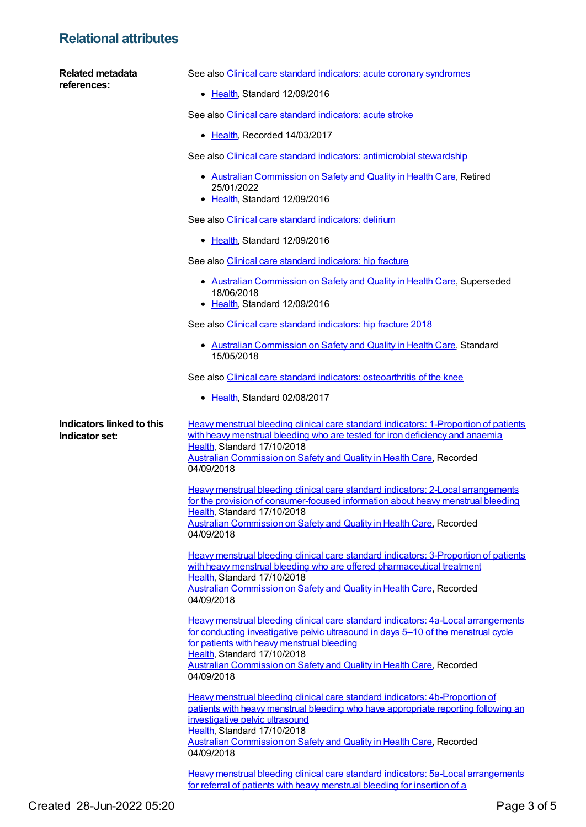#### **Relational attributes**

| Related metadata<br>references:             | See also Clinical care standard indicators: acute coronary syndromes                                                                                                                                                                                                                                                                              |
|---------------------------------------------|---------------------------------------------------------------------------------------------------------------------------------------------------------------------------------------------------------------------------------------------------------------------------------------------------------------------------------------------------|
|                                             | • Health, Standard 12/09/2016                                                                                                                                                                                                                                                                                                                     |
|                                             | See also Clinical care standard indicators: acute stroke                                                                                                                                                                                                                                                                                          |
|                                             | • Health, Recorded 14/03/2017                                                                                                                                                                                                                                                                                                                     |
|                                             | See also Clinical care standard indicators: antimicrobial stewardship                                                                                                                                                                                                                                                                             |
|                                             | • Australian Commission on Safety and Quality in Health Care, Retired<br>25/01/2022<br>• Health, Standard 12/09/2016                                                                                                                                                                                                                              |
|                                             | See also Clinical care standard indicators: delirium                                                                                                                                                                                                                                                                                              |
|                                             | • Health, Standard 12/09/2016                                                                                                                                                                                                                                                                                                                     |
|                                             | See also Clinical care standard indicators: hip fracture                                                                                                                                                                                                                                                                                          |
|                                             | • Australian Commission on Safety and Quality in Health Care, Superseded<br>18/06/2018<br>• Health, Standard 12/09/2016                                                                                                                                                                                                                           |
|                                             | See also Clinical care standard indicators: hip fracture 2018                                                                                                                                                                                                                                                                                     |
|                                             | • Australian Commission on Safety and Quality in Health Care, Standard                                                                                                                                                                                                                                                                            |
|                                             | 15/05/2018                                                                                                                                                                                                                                                                                                                                        |
|                                             | See also Clinical care standard indicators: osteoarthritis of the knee                                                                                                                                                                                                                                                                            |
|                                             | • Health, Standard 02/08/2017                                                                                                                                                                                                                                                                                                                     |
| Indicators linked to this<br>Indicator set: | <b>Heavy menstrual bleeding clinical care standard indicators: 1-Proportion of patients</b><br>with heavy menstrual bleeding who are tested for iron deficiency and anaemia<br>Health, Standard 17/10/2018<br><b>Australian Commission on Safety and Quality in Health Care, Recorded</b><br>04/09/2018                                           |
|                                             | <b>Heavy menstrual bleeding clinical care standard indicators: 2-Local arrangements</b><br>for the provision of consumer-focused information about heavy menstrual bleeding<br>Health, Standard 17/10/2018<br><b>Australian Commission on Safety and Quality in Health Care, Recorded</b><br>04/09/2018                                           |
|                                             | Heavy menstrual bleeding clinical care standard indicators: 3-Proportion of patients<br>with heavy menstrual bleeding who are offered pharmaceutical treatment<br>Health, Standard 17/10/2018<br><b>Australian Commission on Safety and Quality in Health Care, Recorded</b><br>04/09/2018                                                        |
|                                             | Heavy menstrual bleeding clinical care standard indicators: 4a-Local arrangements<br>for conducting investigative pelvic ultrasound in days 5-10 of the menstrual cycle<br>for patients with heavy menstrual bleeding<br>Health, Standard 17/10/2018<br><b>Australian Commission on Safety and Quality in Health Care, Recorded</b><br>04/09/2018 |
|                                             | Heavy menstrual bleeding clinical care standard indicators: 4b-Proportion of<br>patients with heavy menstrual bleeding who have appropriate reporting following an<br>investigative pelvic ultrasound<br>Health, Standard 17/10/2018<br><b>Australian Commission on Safety and Quality in Health Care, Recorded</b><br>04/09/2018                 |
|                                             | Heavy menstrual bleeding clinical care standard indicators: 5a-Local arrangements<br>for referral of patients with heavy menstrual bleeding for insertion of a                                                                                                                                                                                    |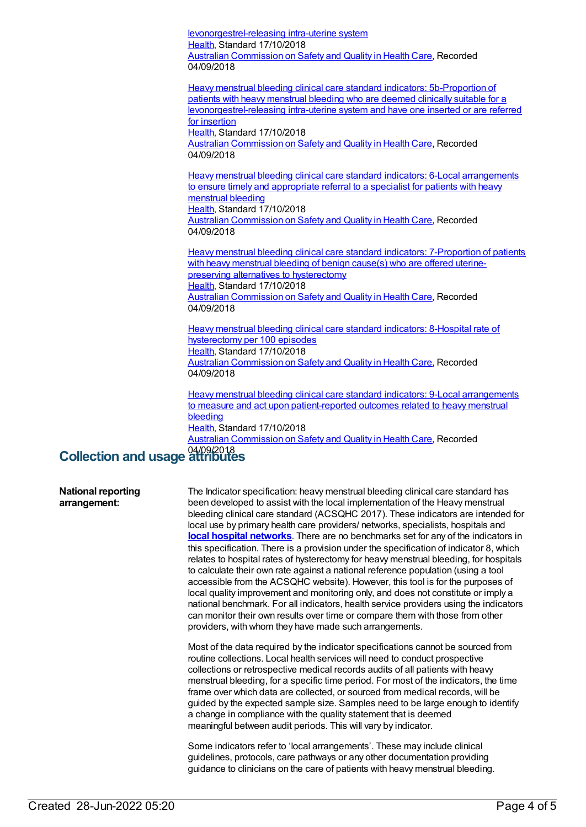levonorgestrel-releasing intra-uterine system [Health](https://meteor.aihw.gov.au/RegistrationAuthority/12), Standard 17/10/2018 Australian [Commission](https://meteor.aihw.gov.au/RegistrationAuthority/18) on Safety and Quality in Health Care, Recorded 04/09/2018 Heavy menstrual bleeding clinical care standard indicators: 5b-Proportion of patients with heavy menstrual bleeding who are deemed clinically suitable for a [levonorgestrel-releasing](https://meteor.aihw.gov.au/content/667319) intra-uterine system and have one inserted or are referred for insertion [Health](https://meteor.aihw.gov.au/RegistrationAuthority/12), Standard 17/10/2018 Australian [Commission](https://meteor.aihw.gov.au/RegistrationAuthority/18) on Safety and Quality in Health Care, Recorded 04/09/2018 Heavy menstrual bleeding clinical care standard indicators: 6-Local [arrangements](https://meteor.aihw.gov.au/content/667329) to ensure timely and appropriate referral to a specialist for patients with heavy menstrual bleeding [Health](https://meteor.aihw.gov.au/RegistrationAuthority/12), Standard 17/10/2018 Australian [Commission](https://meteor.aihw.gov.au/RegistrationAuthority/18) on Safety and Quality in Health Care, Recorded 04/09/2018 Heavy menstrual bleeding clinical care standard indicators: [7-Proportion](https://meteor.aihw.gov.au/content/667334) of patients with heavy menstrual bleeding of benign cause(s) who are offered uterinepreserving alternatives to hysterectomy [Health](https://meteor.aihw.gov.au/RegistrationAuthority/12), Standard 17/10/2018 Australian [Commission](https://meteor.aihw.gov.au/RegistrationAuthority/18) on Safety and Quality in Health Care, Recorded 04/09/2018 Heavy menstrual bleeding clinical care standard indicators: 8-Hospital rate of [hysterectomy](https://meteor.aihw.gov.au/content/667347) per 100 episodes [Health](https://meteor.aihw.gov.au/RegistrationAuthority/12), Standard 17/10/2018 Australian [Commission](https://meteor.aihw.gov.au/RegistrationAuthority/18) on Safety and Quality in Health Care, Recorded 04/09/2018

Heavy menstrual bleeding clinical care standard indicators: 9-Local arrangements to measure and act upon [patient-reported](https://meteor.aihw.gov.au/content/667349) outcomes related to heavy menstrual bleeding [Health](https://meteor.aihw.gov.au/RegistrationAuthority/12), Standard 17/10/2018 Australian [Commission](https://meteor.aihw.gov.au/RegistrationAuthority/18) on Safety and Quality in Health Care, Recorded

## 04/09/2018 **Collection and usage attributes**

#### **National reporting arrangement:**

The Indicator specification: heavy menstrual bleeding clinical care standard has been developed to assist with the local implementation of the Heavy menstrual bleeding clinical care standard (ACSQHC 2017). These indicators are intended for local use by primary health care providers/ networks, specialists, hospitals and **local hospital [networks](https://meteor.aihw.gov.au/content/491016)**. There are no benchmarks set for any of the indicators in this specification. There is a provision under the specification of indicator 8, which relates to hospital rates of hysterectomy for heavy menstrual bleeding, for hospitals to calculate their own rate against a national reference population (using a tool accessible from the ACSQHC website). However, this tool is for the purposes of local quality improvement and monitoring only, and does not constitute or imply a national benchmark. For all indicators, health service providers using the indicators can monitor their own results over time or compare them with those from other providers, with whom they have made such arrangements.

Most of the data required by the indicator specifications cannot be sourced from routine collections. Local health services will need to conduct prospective collections or retrospective medical records audits of all patients with heavy menstrual bleeding, for a specific time period. For most of the indicators, the time frame over which data are collected, or sourced from medical records, will be guided by the expected sample size. Samples need to be large enough to identify a change in compliance with the quality statement that is deemed meaningful between audit periods. This will vary by indicator.

Some indicators refer to 'local arrangements'. These may include clinical guidelines, protocols, care pathways or any other documentation providing guidance to clinicians on the care of patients with heavy menstrual bleeding.